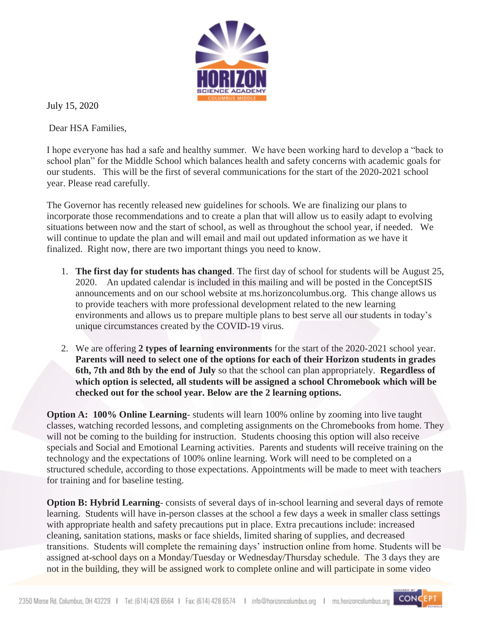

July 15, 2020

Dear HSA Families,

I hope everyone has had a safe and healthy summer. We have been working hard to develop a "back to school plan" for the Middle School which balances health and safety concerns with academic goals for our students. This will be the first of several communications for the start of the 2020-2021 school year. Please read carefully.

The Governor has recently released new guidelines for schools. We are finalizing our plans to incorporate those recommendations and to create a plan that will allow us to easily adapt to evolving situations between now and the start of school, as well as throughout the school year, if needed. We will continue to update the plan and will email and mail out updated information as we have it finalized. Right now, there are two important things you need to know.

- 1. **The first day for students has changed**. The first day of school for students will be August 25, 2020. An updated calendar is included in this mailing and will be posted in the ConceptSIS announcements and on our school website at ms.horizoncolumbus.org. This change allows us to provide teachers with more professional development related to the new learning environments and allows us to prepare multiple plans to best serve all our students in today's unique circumstances created by the COVID-19 virus.
- 2. We are offering **2 types of learning environments** for the start of the 2020-2021 school year. **Parents will need to select one of the options for each of their Horizon students in grades 6th, 7th and 8th by the end of July** so that the school can plan appropriately. **Regardless of which option is selected, all students will be assigned a school Chromebook which will be checked out for the school year. Below are the 2 learning options.**

**Option A: 100% Online Learning**- students will learn 100% online by zooming into live taught classes, watching recorded lessons, and completing assignments on the Chromebooks from home. They will not be coming to the building for instruction. Students choosing this option will also receive specials and Social and Emotional Learning activities. Parents and students will receive training on the technology and the expectations of 100% online learning. Work will need to be completed on a structured schedule, according to those expectations. Appointments will be made to meet with teachers for training and for baseline testing.

**Option B: Hybrid Learning**- consists of several days of in-school learning and several days of remote learning. Students will have in-person classes at the school a few days a week in smaller class settings with appropriate health and safety precautions put in place. Extra precautions include: increased cleaning, sanitation stations, masks or face shields, limited sharing of supplies, and decreased transitions. Students will complete the remaining days' instruction online from home. Students will be assigned at-school days on a Monday/Tuesday or Wednesday/Thursday schedule. The 3 days they are not in the building, they will be assigned work to complete online and will participate in some video

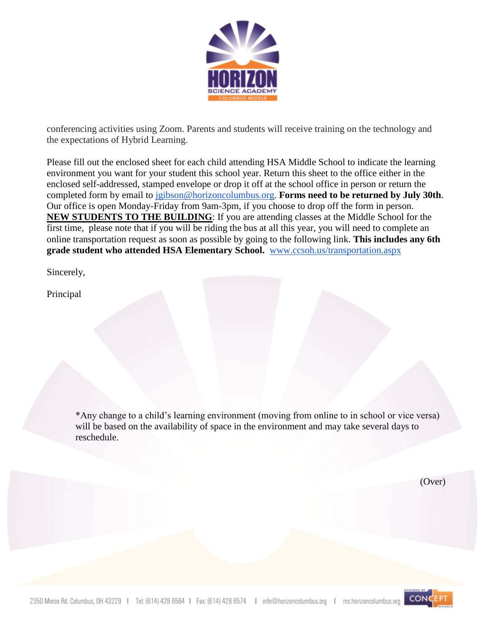

conferencing activities using Zoom. Parents and students will receive training on the technology and the expectations of Hybrid Learning.

Please fill out the enclosed sheet for each child attending HSA Middle School to indicate the learning environment you want for your student this school year. Return this sheet to the office either in the enclosed self-addressed, stamped envelope or drop it off at the school office in person or return the completed form by email to [jgibson@horizoncolumbus.org.](mailto:jgibson@horizoncolumbus.org) **Forms need to be returned by July 30th**. Our office is open Monday-Friday from 9am-3pm, if you choose to drop off the form in person. **NEW STUDENTS TO THE BUILDING**: If you are attending classes at the Middle School for the first time, please note that if you will be riding the bus at all this year, you will need to complete an online transportation request as soon as possible by going to the following link. **This includes any 6th grade student who attended HSA Elementary School.** [www.ccsoh.us/transportation.aspx](http://www.ccsoh.us/transportation.aspx)

Sincerely,

Principal

\*Any change to a child's learning environment (moving from online to in school or vice versa) will be based on the availability of space in the environment and may take several days to reschedule.

(Over)